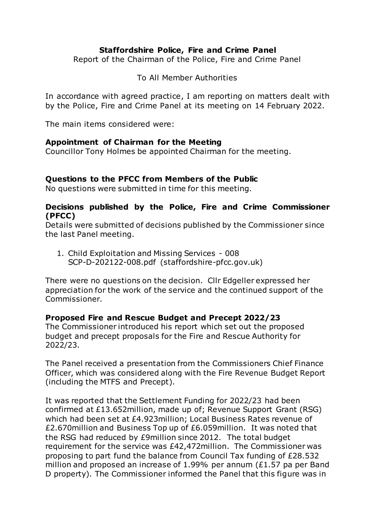## **Staffordshire Police, Fire and Crime Panel**

Report of the Chairman of the Police, Fire and Crime Panel

To All Member Authorities

In accordance with agreed practice, I am reporting on matters dealt with by the Police, Fire and Crime Panel at its meeting on 14 February 2022.

The main items considered were:

#### **Appointment of Chairman for the Meeting**

Councillor Tony Holmes be appointed Chairman for the meeting.

### **Questions to the PFCC from Members of the Public**

No questions were submitted in time for this meeting.

#### **Decisions published by the Police, Fire and Crime Commissioner (PFCC)**

Details were submitted of decisions published by the Commissioner since the last Panel meeting.

1. Child Exploitation and Missing Services - 008 SCP-D-202122-008.pdf (staffordshire-pfcc.gov.uk)

There were no questions on the decision. Cllr Edgeller expressed her appreciation for the work of the service and the continued support of the Commissioner.

### **Proposed Fire and Rescue Budget and Precept 2022/23**

The Commissioner introduced his report which set out the proposed budget and precept proposals for the Fire and Rescue Authority for 2022/23.

The Panel received a presentation from the Commissioners Chief Finance Officer, which was considered along with the Fire Revenue Budget Report (including the MTFS and Precept).

It was reported that the Settlement Funding for 2022/23 had been confirmed at £13.652million, made up of; Revenue Support Grant (RSG) which had been set at £4.923million; Local Business Rates revenue of £2.670million and Business Top up of £6.059million. It was noted that the RSG had reduced by £9million since 2012. The total budget requirement for the service was £42,472million. The Commissioner was proposing to part fund the balance from Council Tax funding of £28.532 million and proposed an increase of 1.99% per annum (£1.57 pa per Band D property). The Commissioner informed the Panel that this figure was in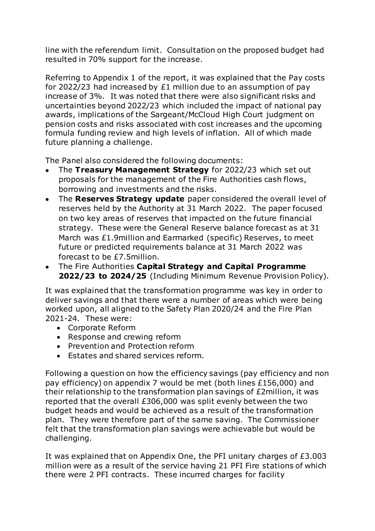line with the referendum limit. Consultation on the proposed budget had resulted in 70% support for the increase.

Referring to Appendix 1 of the report, it was explained that the Pay costs for 2022/23 had increased by £1 million due to an assumption of pay increase of 3%. It was noted that there were also significant risks and uncertainties beyond 2022/23 which included the impact of national pay awards, implications of the Sargeant/McCloud High Court judgment on pension costs and risks associated with cost increases and the upcoming formula funding review and high levels of inflation. All of which made future planning a challenge.

The Panel also considered the following documents:

- The **Treasury Management Strategy** for 2022/23 which set out proposals for the management of the Fire Authorities cash flows, borrowing and investments and the risks.
- The **Reserves Strategy update** paper considered the overall level of reserves held by the Authority at 31 March 2022. The paper focused on two key areas of reserves that impacted on the future financial strategy. These were the General Reserve balance forecast as at 31 March was £1.9million and Earmarked (specific) Reserves, to meet future or predicted requirements balance at 31 March 2022 was forecast to be £7.5million.
- The Fire Authorities **Capital Strategy and Capital Programme 2022/23 to 2024/25** (Including Minimum Revenue Provision Policy).

It was explained that the transformation programme was key in order to deliver savings and that there were a number of areas which were being worked upon, all aligned to the Safety Plan 2020/24 and the Fire Plan 2021-24. These were:

- Corporate Reform
- Response and crewing reform
- Prevention and Protection reform
- Estates and shared services reform.

Following a question on how the efficiency savings (pay efficiency and non pay efficiency) on appendix 7 would be met (both lines £156,000) and their relationship to the transformation plan savings of £2million, it was reported that the overall £306,000 was split evenly between the two budget heads and would be achieved as a result of the transformation plan. They were therefore part of the same saving. The Commissioner felt that the transformation plan savings were achievable but would be challenging.

It was explained that on Appendix One, the PFI unitary charges of £3.003 million were as a result of the service having 21 PFI Fire stations of which there were 2 PFI contracts. These incurred charges for facility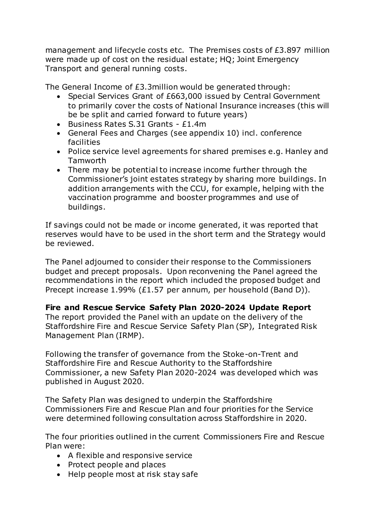management and lifecycle costs etc. The Premises costs of £3.897 million were made up of cost on the residual estate; HQ; Joint Emergency Transport and general running costs.

The General Income of £3.3million would be generated through:

- Special Services Grant of £663,000 issued by Central Government to primarily cover the costs of National Insurance increases (this will be be split and carried forward to future years)
- Business Rates S.31 Grants £1.4m
- General Fees and Charges (see appendix 10) incl. conference facilities
- Police service level agreements for shared premises e.g. Hanley and Tamworth
- There may be potential to increase income further through the Commissioner's joint estates strategy by sharing more buildings. In addition arrangements with the CCU, for example, helping with the vaccination programme and booster programmes and use of buildings.

If savings could not be made or income generated, it was reported that reserves would have to be used in the short term and the Strategy would be reviewed.

The Panel adjourned to consider their response to the Commissioners budget and precept proposals. Upon reconvening the Panel agreed the recommendations in the report which included the proposed budget and Precept increase 1.99% (£1.57 per annum, per household (Band D)).

# **Fire and Rescue Service Safety Plan 2020-2024 Update Report**

The report provided the Panel with an update on the delivery of the Staffordshire Fire and Rescue Service Safety Plan (SP), Integrated Risk Management Plan (IRMP).

Following the transfer of governance from the Stoke-on-Trent and Staffordshire Fire and Rescue Authority to the Staffordshire Commissioner, a new Safety Plan 2020-2024 was developed which was published in August 2020.

The Safety Plan was designed to underpin the Staffordshire Commissioners Fire and Rescue Plan and four priorities for the Service were determined following consultation across Staffordshire in 2020.

The four priorities outlined in the current Commissioners Fire and Rescue Plan were:

- A flexible and responsive service
- Protect people and places
- Help people most at risk stay safe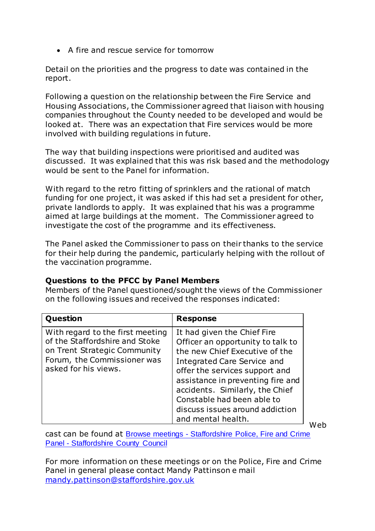A fire and rescue service for tomorrow

Detail on the priorities and the progress to date was contained in the report.

Following a question on the relationship between the Fire Service and Housing Associations, the Commissioner agreed that liaison with housing companies throughout the County needed to be developed and would be looked at. There was an expectation that Fire services would be more involved with building regulations in future.

The way that building inspections were prioritised and audited was discussed. It was explained that this was risk based and the methodology would be sent to the Panel for information.

With regard to the retro fitting of sprinklers and the rational of match funding for one project, it was asked if this had set a president for other, private landlords to apply. It was explained that his was a programme aimed at large buildings at the moment. The Commissioner agreed to investigate the cost of the programme and its effectiveness.

The Panel asked the Commissioner to pass on their thanks to the service for their help during the pandemic, particularly helping with the rollout of the vaccination programme.

# **Questions to the PFCC by Panel Members**

Members of the Panel questioned/sought the views of the Commissioner on the following issues and received the responses indicated:

| Question                                                                                                                                                  | <b>Response</b>                                                                                                                                                                                                                                                                                                                    |
|-----------------------------------------------------------------------------------------------------------------------------------------------------------|------------------------------------------------------------------------------------------------------------------------------------------------------------------------------------------------------------------------------------------------------------------------------------------------------------------------------------|
| With regard to the first meeting<br>of the Staffordshire and Stoke<br>on Trent Strategic Community<br>Forum, the Commissioner was<br>asked for his views. | It had given the Chief Fire<br>Officer an opportunity to talk to<br>the new Chief Executive of the<br>Integrated Care Service and<br>offer the services support and<br>assistance in preventing fire and<br>accidents. Similarly, the Chief<br>Constable had been able to<br>discuss issues around addiction<br>and mental health. |

Web

cast can be found at Browse meetings - [Staffordshire Police, Fire and Crime](https://moderngov.staffordshire.gov.uk/ieListMeetings.aspx?CommitteeId=1150)  Panel - [Staffordshire County Council](https://moderngov.staffordshire.gov.uk/ieListMeetings.aspx?CommitteeId=1150)

For more information on these meetings or on the Police, Fire and Crime Panel in general please contact Mandy Pattinson e mail [mandy.pattinson@staffordshire.gov.uk](mailto:mandy.pattinson@staffordshire.gov.uk)